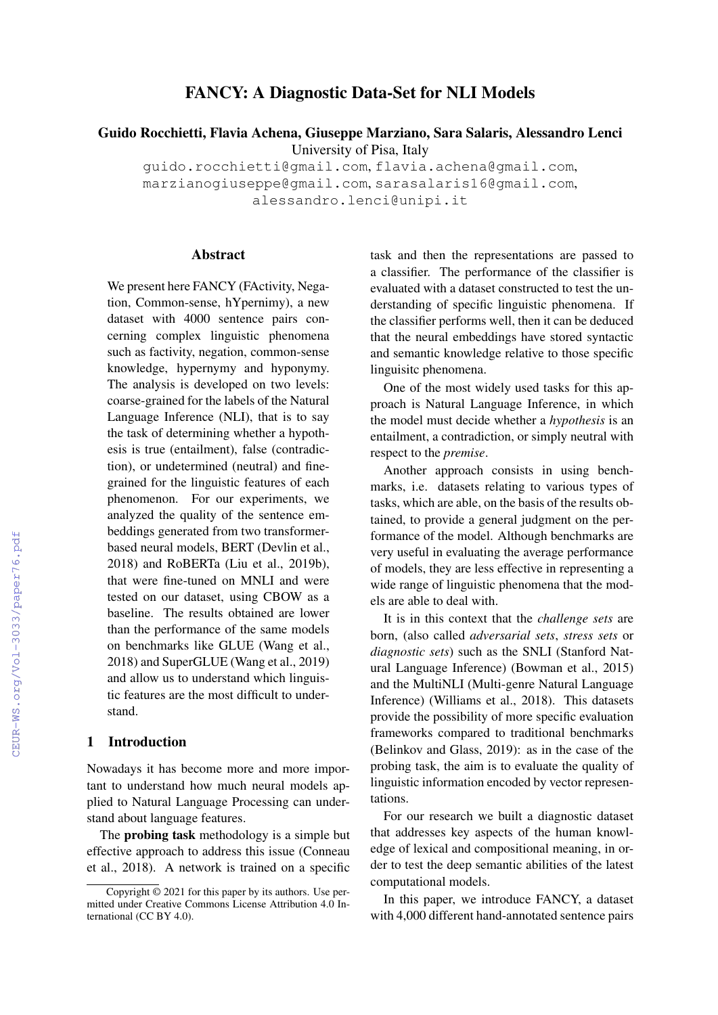# FANCY: A Diagnostic Data-Set for NLI Models

Guido Rocchietti, Flavia Achena, Giuseppe Marziano, Sara Salaris, Alessandro Lenci University of Pisa, Italy

guido.rocchietti@gmail.com, flavia.achena@gmail.com, marzianogiuseppe@gmail.com, sarasalaris16@gmail.com, alessandro.lenci@unipi.it

#### Abstract

We present here FANCY (FActivity, Negation, Common-sense, hYpernimy), a new dataset with 4000 sentence pairs concerning complex linguistic phenomena such as factivity, negation, common-sense knowledge, hypernymy and hyponymy. The analysis is developed on two levels: coarse-grained for the labels of the Natural Language Inference (NLI), that is to say the task of determining whether a hypothesis is true (entailment), false (contradiction), or undetermined (neutral) and finegrained for the linguistic features of each phenomenon. For our experiments, we analyzed the quality of the sentence embeddings generated from two transformerbased neural models, BERT (Devlin et al., 2018) and RoBERTa (Liu et al., 2019b), that were fine-tuned on MNLI and were tested on our dataset, using CBOW as a baseline. The results obtained are lower than the performance of the same models on benchmarks like GLUE (Wang et al., 2018) and SuperGLUE (Wang et al., 2019) and allow us to understand which linguistic features are the most difficult to understand.

# 1 Introduction

Nowadays it has become more and more important to understand how much neural models applied to Natural Language Processing can understand about language features.

The probing task methodology is a simple but effective approach to address this issue (Conneau et al., 2018). A network is trained on a specific task and then the representations are passed to a classifier. The performance of the classifier is evaluated with a dataset constructed to test the understanding of specific linguistic phenomena. If the classifier performs well, then it can be deduced that the neural embeddings have stored syntactic and semantic knowledge relative to those specific linguisitc phenomena.

One of the most widely used tasks for this approach is Natural Language Inference, in which the model must decide whether a *hypothesis* is an entailment, a contradiction, or simply neutral with respect to the *premise*.

Another approach consists in using benchmarks, i.e. datasets relating to various types of tasks, which are able, on the basis of the results obtained, to provide a general judgment on the performance of the model. Although benchmarks are very useful in evaluating the average performance of models, they are less effective in representing a wide range of linguistic phenomena that the models are able to deal with.

It is in this context that the *challenge sets* are born, (also called *adversarial sets*, *stress sets* or *diagnostic sets*) such as the SNLI (Stanford Natural Language Inference) (Bowman et al., 2015) and the MultiNLI (Multi-genre Natural Language Inference) (Williams et al., 2018). This datasets provide the possibility of more specific evaluation frameworks compared to traditional benchmarks (Belinkov and Glass, 2019): as in the case of the probing task, the aim is to evaluate the quality of linguistic information encoded by vector representations.

For our research we built a diagnostic dataset that addresses key aspects of the human knowledge of lexical and compositional meaning, in order to test the deep semantic abilities of the latest computational models.

In this paper, we introduce FANCY, a dataset with 4,000 different hand-annotated sentence pairs

Copyright © 2021 for this paper by its authors. Use permitted under Creative Commons License Attribution 4.0 International (CC BY 4.0).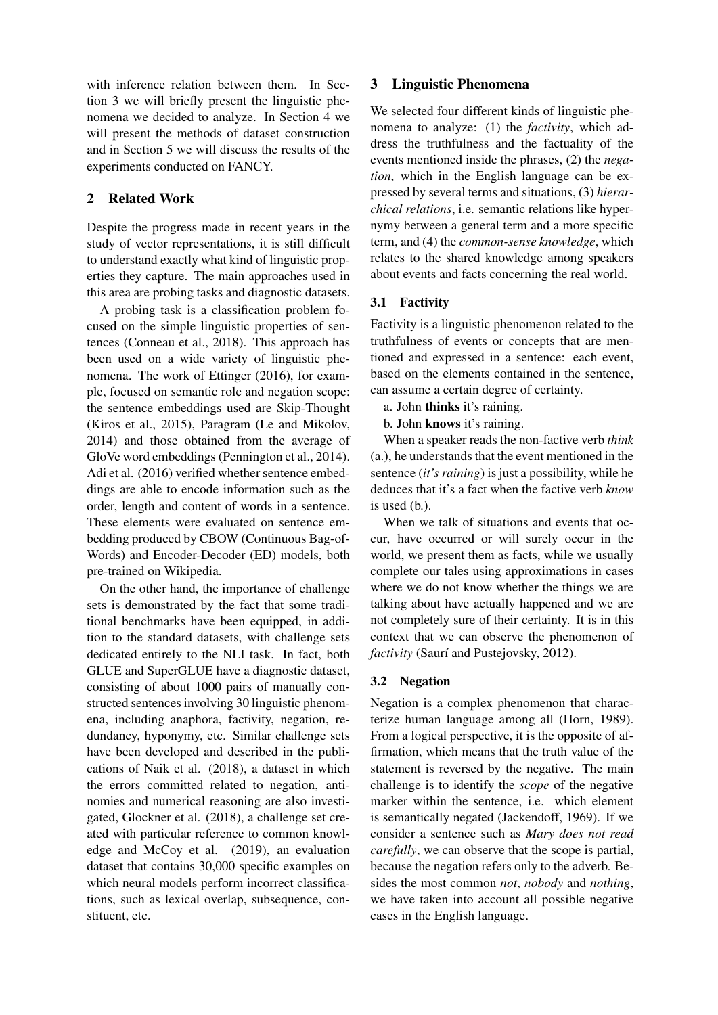with inference relation between them. In Section 3 we will briefly present the linguistic phenomena we decided to analyze. In Section 4 we will present the methods of dataset construction and in Section 5 we will discuss the results of the experiments conducted on FANCY.

# 2 Related Work

Despite the progress made in recent years in the study of vector representations, it is still difficult to understand exactly what kind of linguistic properties they capture. The main approaches used in this area are probing tasks and diagnostic datasets.

A probing task is a classification problem focused on the simple linguistic properties of sentences (Conneau et al., 2018). This approach has been used on a wide variety of linguistic phenomena. The work of Ettinger (2016), for example, focused on semantic role and negation scope: the sentence embeddings used are Skip-Thought (Kiros et al., 2015), Paragram (Le and Mikolov, 2014) and those obtained from the average of GloVe word embeddings (Pennington et al., 2014). Adi et al. (2016) verified whether sentence embeddings are able to encode information such as the order, length and content of words in a sentence. These elements were evaluated on sentence embedding produced by CBOW (Continuous Bag-of-Words) and Encoder-Decoder (ED) models, both pre-trained on Wikipedia.

On the other hand, the importance of challenge sets is demonstrated by the fact that some traditional benchmarks have been equipped, in addition to the standard datasets, with challenge sets dedicated entirely to the NLI task. In fact, both GLUE and SuperGLUE have a diagnostic dataset, consisting of about 1000 pairs of manually constructed sentences involving 30 linguistic phenomena, including anaphora, factivity, negation, redundancy, hyponymy, etc. Similar challenge sets have been developed and described in the publications of Naik et al. (2018), a dataset in which the errors committed related to negation, antinomies and numerical reasoning are also investigated, Glockner et al. (2018), a challenge set created with particular reference to common knowledge and McCoy et al. (2019), an evaluation dataset that contains 30,000 specific examples on which neural models perform incorrect classifications, such as lexical overlap, subsequence, constituent, etc.

## 3 Linguistic Phenomena

We selected four different kinds of linguistic phenomena to analyze: (1) the *factivity*, which address the truthfulness and the factuality of the events mentioned inside the phrases, (2) the *negation*, which in the English language can be expressed by several terms and situations, (3) *hierarchical relations*, i.e. semantic relations like hypernymy between a general term and a more specific term, and (4) the *common-sense knowledge*, which relates to the shared knowledge among speakers about events and facts concerning the real world.

# 3.1 Factivity

Factivity is a linguistic phenomenon related to the truthfulness of events or concepts that are mentioned and expressed in a sentence: each event, based on the elements contained in the sentence, can assume a certain degree of certainty.

a. John thinks it's raining.

b. John knows it's raining.

When a speaker reads the non-factive verb *think* (a.), he understands that the event mentioned in the sentence (*it's raining*) is just a possibility, while he deduces that it's a fact when the factive verb *know* is used (b.).

When we talk of situations and events that occur, have occurred or will surely occur in the world, we present them as facts, while we usually complete our tales using approximations in cases where we do not know whether the things we are talking about have actually happened and we are not completely sure of their certainty. It is in this context that we can observe the phenomenon of *factivity* (Saurí and Pustejovsky, 2012).

# 3.2 Negation

Negation is a complex phenomenon that characterize human language among all (Horn, 1989). From a logical perspective, it is the opposite of affirmation, which means that the truth value of the statement is reversed by the negative. The main challenge is to identify the *scope* of the negative marker within the sentence, i.e. which element is semantically negated (Jackendoff, 1969). If we consider a sentence such as *Mary does not read carefully*, we can observe that the scope is partial, because the negation refers only to the adverb. Besides the most common *not*, *nobody* and *nothing*, we have taken into account all possible negative cases in the English language.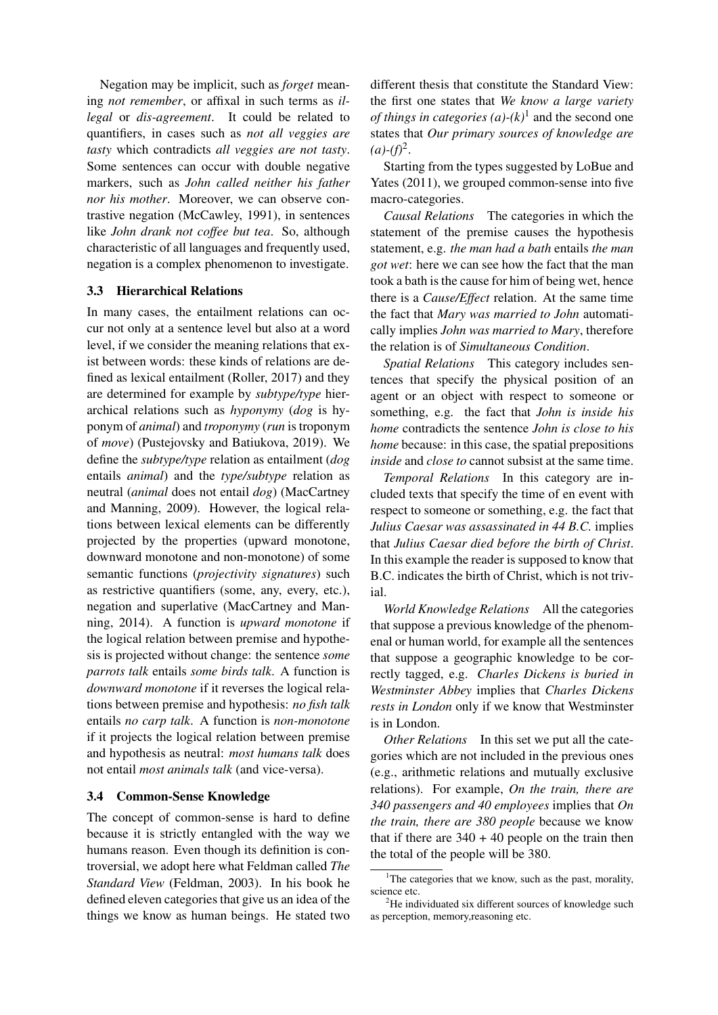Negation may be implicit, such as *forget* meaning *not remember*, or affixal in such terms as *illegal* or *dis-agreement*. It could be related to quantifiers, in cases such as *not all veggies are tasty* which contradicts *all veggies are not tasty*. Some sentences can occur with double negative markers, such as *John called neither his father nor his mother*. Moreover, we can observe contrastive negation (McCawley, 1991), in sentences like *John drank not coffee but tea*. So, although characteristic of all languages and frequently used, negation is a complex phenomenon to investigate.

## 3.3 Hierarchical Relations

In many cases, the entailment relations can occur not only at a sentence level but also at a word level, if we consider the meaning relations that exist between words: these kinds of relations are defined as lexical entailment (Roller, 2017) and they are determined for example by *subtype/type* hierarchical relations such as *hyponymy* (*dog* is hyponym of *animal*) and *troponymy* (*run* is troponym of *move*) (Pustejovsky and Batiukova, 2019). We define the *subtype/type* relation as entailment (*dog* entails *animal*) and the *type/subtype* relation as neutral (*animal* does not entail *dog*) (MacCartney and Manning, 2009). However, the logical relations between lexical elements can be differently projected by the properties (upward monotone, downward monotone and non-monotone) of some semantic functions (*projectivity signatures*) such as restrictive quantifiers (some, any, every, etc.), negation and superlative (MacCartney and Manning, 2014). A function is *upward monotone* if the logical relation between premise and hypothesis is projected without change: the sentence *some parrots talk* entails *some birds talk*. A function is *downward monotone* if it reverses the logical relations between premise and hypothesis: *no fish talk* entails *no carp talk*. A function is *non-monotone* if it projects the logical relation between premise and hypothesis as neutral: *most humans talk* does not entail *most animals talk* (and vice-versa).

## 3.4 Common-Sense Knowledge

The concept of common-sense is hard to define because it is strictly entangled with the way we humans reason. Even though its definition is controversial, we adopt here what Feldman called *The Standard View* (Feldman, 2003). In his book he defined eleven categories that give us an idea of the things we know as human beings. He stated two

different thesis that constitute the Standard View: the first one states that *We know a large variety of things in categories*  $(a)-(k)^{1}$  and the second one states that *Our primary sources of knowledge are*  $(a)-(f)^{2}.$ 

Starting from the types suggested by LoBue and Yates (2011), we grouped common-sense into five macro-categories.

*Causal Relations* The categories in which the statement of the premise causes the hypothesis statement, e.g. *the man had a bath* entails *the man got wet*: here we can see how the fact that the man took a bath is the cause for him of being wet, hence there is a *Cause/Effect* relation. At the same time the fact that *Mary was married to John* automatically implies *John was married to Mary*, therefore the relation is of *Simultaneous Condition*.

*Spatial Relations* This category includes sentences that specify the physical position of an agent or an object with respect to someone or something, e.g. the fact that *John is inside his home* contradicts the sentence *John is close to his home* because: in this case, the spatial prepositions *inside* and *close to* cannot subsist at the same time.

*Temporal Relations* In this category are included texts that specify the time of en event with respect to someone or something, e.g. the fact that *Julius Caesar was assassinated in 44 B.C.* implies that *Julius Caesar died before the birth of Christ*. In this example the reader is supposed to know that B.C. indicates the birth of Christ, which is not trivial.

*World Knowledge Relations* All the categories that suppose a previous knowledge of the phenomenal or human world, for example all the sentences that suppose a geographic knowledge to be correctly tagged, e.g. *Charles Dickens is buried in Westminster Abbey* implies that *Charles Dickens rests in London* only if we know that Westminster is in London.

*Other Relations* In this set we put all the categories which are not included in the previous ones (e.g., arithmetic relations and mutually exclusive relations). For example, *On the train, there are 340 passengers and 40 employees* implies that *On the train, there are 380 people* because we know that if there are  $340 + 40$  people on the train then the total of the people will be 380.

<sup>&</sup>lt;sup>1</sup>The categories that we know, such as the past, morality, science etc.

 ${}^{2}$ He individuated six different sources of knowledge such as perception, memory,reasoning etc.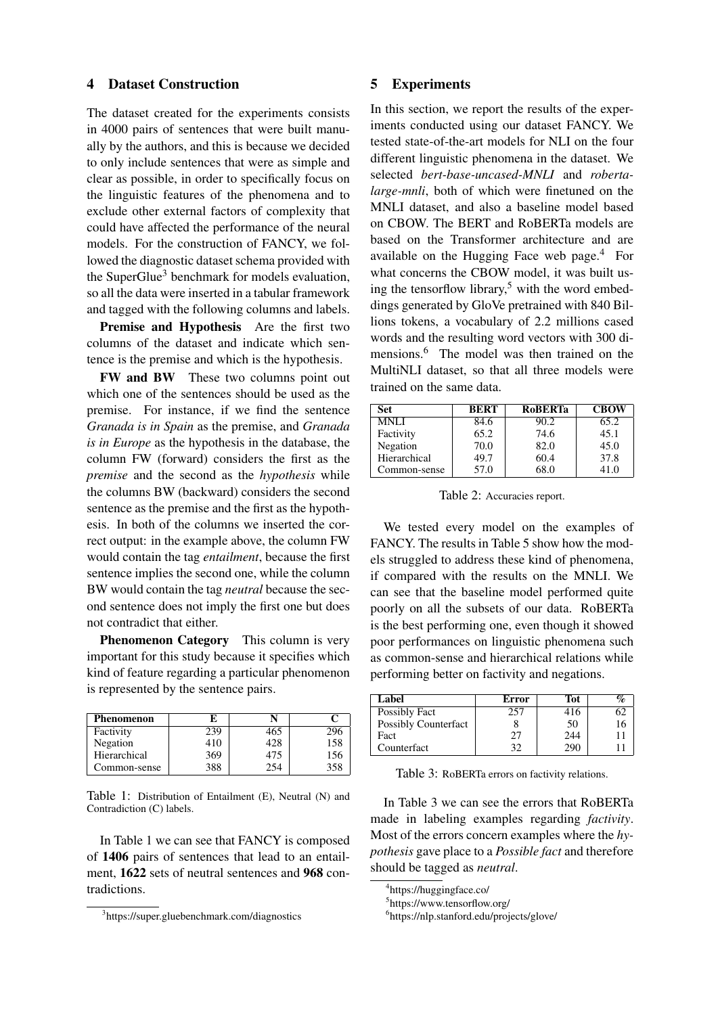### 4 Dataset Construction

The dataset created for the experiments consists in 4000 pairs of sentences that were built manually by the authors, and this is because we decided to only include sentences that were as simple and clear as possible, in order to specifically focus on the linguistic features of the phenomena and to exclude other external factors of complexity that could have affected the performance of the neural models. For the construction of FANCY, we followed the diagnostic dataset schema provided with the SuperGlue<sup>3</sup> benchmark for models evaluation, so all the data were inserted in a tabular framework and tagged with the following columns and labels.

Premise and Hypothesis Are the first two columns of the dataset and indicate which sentence is the premise and which is the hypothesis.

FW and BW These two columns point out which one of the sentences should be used as the premise. For instance, if we find the sentence *Granada is in Spain* as the premise, and *Granada is in Europe* as the hypothesis in the database, the column FW (forward) considers the first as the *premise* and the second as the *hypothesis* while the columns BW (backward) considers the second sentence as the premise and the first as the hypothesis. In both of the columns we inserted the correct output: in the example above, the column FW would contain the tag *entailment*, because the first sentence implies the second one, while the column BW would contain the tag *neutral* because the second sentence does not imply the first one but does not contradict that either.

Phenomenon Category This column is very important for this study because it specifies which kind of feature regarding a particular phenomenon is represented by the sentence pairs.

| Phenomenon   | ю   |     |     |
|--------------|-----|-----|-----|
| Factivity    | 239 | 465 |     |
| Negation     | 410 | 428 | 158 |
| Hierarchical | 369 | 475 | 156 |
| Common-sense | 388 | 254 | 358 |

Table 1: Distribution of Entailment (E), Neutral (N) and Contradiction (C) labels.

In Table 1 we can see that FANCY is composed of 1406 pairs of sentences that lead to an entailment, 1622 sets of neutral sentences and 968 contradictions.

### 5 Experiments

In this section, we report the results of the experiments conducted using our dataset FANCY. We tested state-of-the-art models for NLI on the four different linguistic phenomena in the dataset. We selected *bert-base-uncased-MNLI* and *robertalarge-mnli*, both of which were finetuned on the MNLI dataset, and also a baseline model based on CBOW. The BERT and RoBERTa models are based on the Transformer architecture and are available on the Hugging Face web page.<sup>4</sup> For what concerns the CBOW model, it was built using the tensorflow library,<sup>5</sup> with the word embeddings generated by GloVe pretrained with 840 Billions tokens, a vocabulary of 2.2 millions cased words and the resulting word vectors with 300 dimensions.<sup>6</sup> The model was then trained on the MultiNLI dataset, so that all three models were trained on the same data.

| Set          | <b>BERT</b> | <b>RoBERTa</b> | <b>CBOW</b> |
|--------------|-------------|----------------|-------------|
| <b>MNLI</b>  | 84.6        | 90.2           | 65.2        |
| Factivity    | 65.2        | 74.6           | 45.1        |
| Negation     | 70.0        | 82.0           | 45.0        |
| Hierarchical | 49.7        | 60.4           | 37.8        |
| Common-sense | 57.0        | 68.0           | 41.0        |

Table 2: Accuracies report.

We tested every model on the examples of FANCY. The results in Table 5 show how the models struggled to address these kind of phenomena, if compared with the results on the MNLI. We can see that the baseline model performed quite poorly on all the subsets of our data. RoBERTa is the best performing one, even though it showed poor performances on linguistic phenomena such as common-sense and hierarchical relations while performing better on factivity and negations.

| Label                       | Error | Tot |  |
|-----------------------------|-------|-----|--|
| Possibly Fact               | 257   | 416 |  |
| <b>Possibly Counterfact</b> |       | 50  |  |
| Fact                        | 27    | 244 |  |
| Counterfact                 | 30    | 290 |  |

Table 3: RoBERTa errors on factivity relations.

In Table 3 we can see the errors that RoBERTa made in labeling examples regarding *factivity*. Most of the errors concern examples where the *hypothesis* gave place to a *Possible fact* and therefore should be tagged as *neutral*.

<sup>3</sup> https://super.gluebenchmark.com/diagnostics

<sup>4</sup> https://huggingface.co/

<sup>5</sup> https://www.tensorflow.org/

<sup>6</sup> https://nlp.stanford.edu/projects/glove/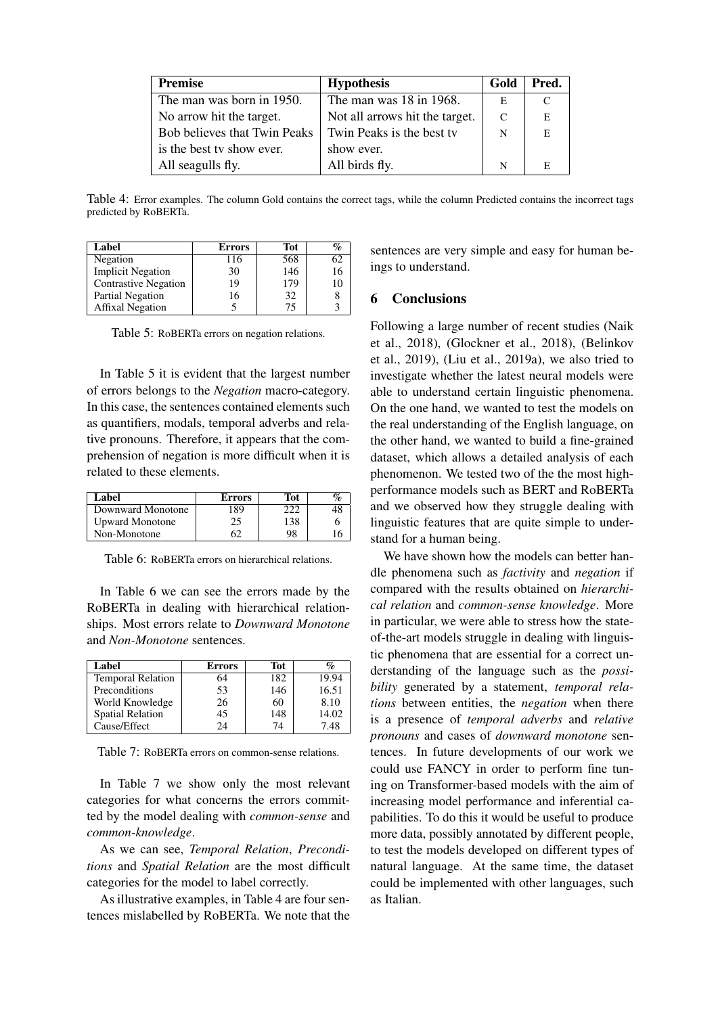| <b>Premise</b>                      | <b>Hypothesis</b>              | Gold | Pred. |
|-------------------------------------|--------------------------------|------|-------|
| The man was born in 1950.           | The man was 18 in 1968.        | E    | C     |
| No arrow hit the target.            | Not all arrows hit the target. | C    | E     |
| <b>Bob believes that Twin Peaks</b> | Twin Peaks is the best tv      | N    | E     |
| is the best ty show ever.           | show ever.                     |      |       |
| All seagulls fly.                   | All birds fly.                 | N    | E     |

Table 4: Error examples. The column Gold contains the correct tags, while the column Predicted contains the incorrect tags predicted by RoBERTa.

| Label                       | <b>Errors</b> | Tot | %  |
|-----------------------------|---------------|-----|----|
| Negation                    | 116           | 568 | 62 |
| <b>Implicit Negation</b>    | 30            | 146 | 16 |
| <b>Contrastive Negation</b> | 19            | 179 | 10 |
| Partial Negation            | 16            | 32  |    |
| <b>Affixal Negation</b>     |               | 75  |    |

Table 5: RoBERTa errors on negation relations.

In Table 5 it is evident that the largest number of errors belongs to the *Negation* macro-category. In this case, the sentences contained elements such as quantifiers, modals, temporal adverbs and relative pronouns. Therefore, it appears that the comprehension of negation is more difficult when it is related to these elements.

| Label                  | <b>Errors</b> | Tot |  |
|------------------------|---------------|-----|--|
| Downward Monotone      | 189           |     |  |
| <b>Upward Monotone</b> | 25            | 138 |  |
| Non-Monotone           | 62            | 98  |  |

Table 6: RoBERTa errors on hierarchical relations.

In Table 6 we can see the errors made by the RoBERTa in dealing with hierarchical relationships. Most errors relate to *Downward Monotone* and *Non-Monotone* sentences.

| Label                    | <b>Errors</b> | Tot |       |
|--------------------------|---------------|-----|-------|
| <b>Temporal Relation</b> | 64            | 182 | 19.94 |
| Preconditions            | 53            | 146 | 16.51 |
| World Knowledge          | 26            | 60  | 8.10  |
| <b>Spatial Relation</b>  | 45            | 148 | 14.02 |
| Cause/Effect             | 24            | 74  | 7.48  |

Table 7: RoBERTa errors on common-sense relations.

In Table 7 we show only the most relevant categories for what concerns the errors committed by the model dealing with *common-sense* and *common-knowledge*.

As we can see, *Temporal Relation*, *Preconditions* and *Spatial Relation* are the most difficult categories for the model to label correctly.

As illustrative examples, in Table 4 are four sentences mislabelled by RoBERTa. We note that the sentences are very simple and easy for human beings to understand.

# 6 Conclusions

Following a large number of recent studies (Naik et al., 2018), (Glockner et al., 2018), (Belinkov et al., 2019), (Liu et al., 2019a), we also tried to investigate whether the latest neural models were able to understand certain linguistic phenomena. On the one hand, we wanted to test the models on the real understanding of the English language, on the other hand, we wanted to build a fine-grained dataset, which allows a detailed analysis of each phenomenon. We tested two of the the most highperformance models such as BERT and RoBERTa and we observed how they struggle dealing with linguistic features that are quite simple to understand for a human being.

We have shown how the models can better handle phenomena such as *factivity* and *negation* if compared with the results obtained on *hierarchical relation* and *common-sense knowledge*. More in particular, we were able to stress how the stateof-the-art models struggle in dealing with linguistic phenomena that are essential for a correct understanding of the language such as the *possibility* generated by a statement, *temporal relations* between entities, the *negation* when there is a presence of *temporal adverbs* and *relative pronouns* and cases of *downward monotone* sentences. In future developments of our work we could use FANCY in order to perform fine tuning on Transformer-based models with the aim of increasing model performance and inferential capabilities. To do this it would be useful to produce more data, possibly annotated by different people, to test the models developed on different types of natural language. At the same time, the dataset could be implemented with other languages, such as Italian.